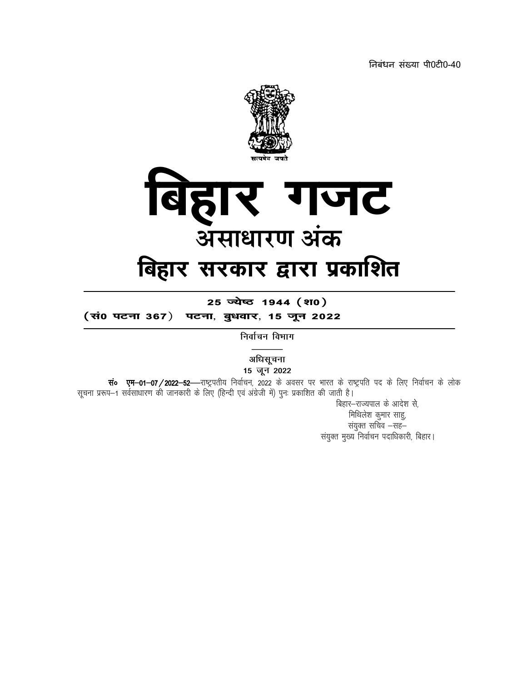निबंधन संख्या पी0टी0-40



25 ज्येष्ठ 1944 (श0)

(सं0 पटना 367) पटना, बुधवार, 15 जून 2022

निर्वाचन विभाग

अधिसूचना 15 जून 2022

संo एम-01-07/2022-52—राष्ट्रपतीय निर्वाचन, 2022 के अवसर पर भारत के राष्ट्रपति पद के लिए निर्वाचन के लोक सूचना प्ररूप-1 सर्वसाधारण की जानकारी के लिए (हिन्दी एवं अंग्रेजी में) पुनः प्रकाशित की जाती है।

बिहार-राज्यपाल के आदेश से, मिथिलेश कुमार साहु, संयुक्त सचिव –सह– संयुक्त मुख्य निर्वाचन पदाधिकारी, बिहार।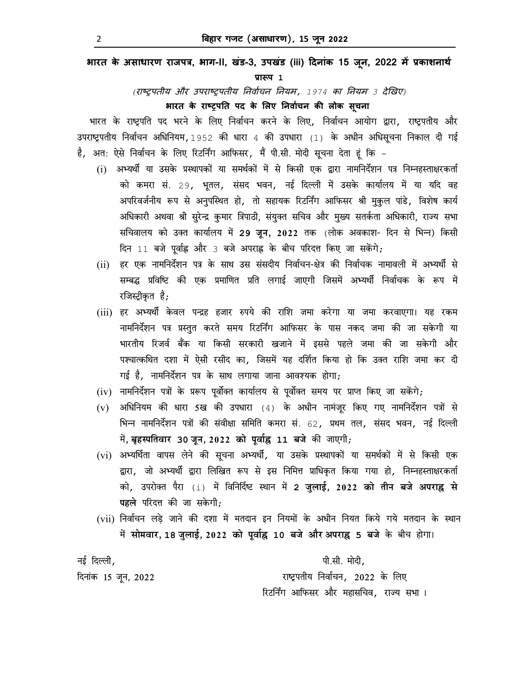**भारत के असाधारण राजपğ, भाग-II, खंड-3, उपखंड (iii) Ǒदनांक 15 जून, 2022 मɅĤकाशनाथ[**

**ĤाǾप 1**

*(*राçĚपतीय और उपराçĚपतीय Ǔनवा[चन Ǔनयम*, 1974* का Ǔनयम *3* देͨखए*)*

**भारत के राçĚपǓत पद के ͧलए Ǔनवा[चन कȧ लोक सचू ना**

भारत के राष्ट्रपति पद भरने के लिए निर्वाचन करने के लिए, निर्वाचन आयोग द्वारा, राष्ट्रपतीय और उपराष्ट्रपतीय निर्वाचन अधिनियम, 1952 की धारा 4 की उपधारा (1) के अधीन अधिसूचना निकाल दी गई है, अत: ऐसे निर्वाचन के लिए रिटर्निंग आफिसर, मैं पी.सी. मोदी सूचना देता हूं कि –

- (i) अभ्यर्थी या उसके प्रस्थापकों या समर्थकों में से किसी एक द्वारा नामनिर्देशन पत्र निम्नहस्ताक्षरकर्ता को कमरा सं. 29, भूतल, संसद भवन, नई दिल्ली में उसके कार्यालय में या यदि वह अपरिवर्जनीय रूप से अनुपस्थित हो, तो सहायक रिटर्निंग आफिसर श्री मुकुल पांडे, विशेष कार्य अधिकारी अथवा श्री सुरेन्द्र कुमार त्रिपाठी, संयुक्त सचिव और मुख्य सतर्कता अधिकारी, राज्य सभा सचिवालय को उक्त कार्यालय में 29 जून, 2022 तक (लोक अवकाश- दिन से भिन्न) किसी दिन 11 बजे पूर्वाह्न और 3 बजे अपराह्न के बीच परिदत्त किए जा सकेंगे;
- (ii) हर एक नामनिर्देशन पत्र के साथ उस संसदीय निर्वाचन-क्षेत्र की निर्वाचक नामावली में अभ्यर्थी से सम्बद्ध प्रविष्टि की एक प्रमाणित प्रति लगाई जाएगी जिसमें अभ्यर्थी निर्वाचक के रूप में रजिस्ट्रीकृत है*;*
- (iii) हर अभ्यर्थी केवल पन्द्रह हजार रुपये की राशि जमा करेगा या जमा करवाएगा। यह रकम नामनिर्देशन पत्र प्रस्तुत करते समय रिटर्निंग आफिसर के पास नकद जमा की जा सकेगी या भारतीय रिजर्व बैंक या किसी सरकारी खजाने में इससे पहले जमा की जा सकेगी और पश्चात्कथित दशा में ऐसी रसीद का, जिसमें यह दर्शित किया हो कि उक्त राशि जमा कर दी गई है, नामनिर्देशन पत्र के साथ लगाया जाना आवश्यक होगा;
- (iv) नामनिर्देशन पत्रों के प्ररूप पूर्वोक्त कार्यालय से पूर्वोक्त समय पर प्राप्त किए जा सकेंगे*;*
- (v) अधिनियम की धारा 5ख की उपधारा (4) के अधीन नामंजूर किए गए नामनिर्देशन पत्रों से भिन्न नामनिर्देशन पत्रों की संवीक्षा समिति कमरा सं. 62, प्रथम तल, संसद भवन, नई दिल्ली मɅ**, बृहèपितवार 30 जून, 2022 को पवू ा[ƹ 11 बजे** कȧ जाएगी;
- (vi) अभ्यर्थिता वापस लेने की सूचना अभ्यर्थी, या उसके प्रस्थापकों या समर्थकों में से किसी एक द्वारा, जो अभ्यर्थी द्वारा लिखित रूप से इस निमित्त प्राधिकृत किया गया हो, निम्नहस्ताक्षरकर्ता को, उपरोƠ पैरा (i) मɅ ǐविनǐद[ƴ èथान मɅ **2 जुलाई, 2022 को तीन बजे अपराƹ से पहले** परिदत्त की जा सकेगी*:*
- (vii) निर्वाचन लड़े जाने की दशा में मतदान इन नियमों के अधीन नियत किये गये मतदान के स्थान मɅ **सोमवार, 18 जुलाई, 2022 को पवू ा[ƹ 10 बजे और अपराƹ 5 बजे** के बीच होगा।

नई दिल्ली, पाटिक बाद कर साथ करने के प्रशासन करने के प्रशासन करने के प्रशासन करने के प्रशासन कर से प्रशासन कर स दिनांक 15 जून, 2022 राष्ट्रपतीय निर्वाचन, 2022 के लिए रिटर्निंग आफिसर और महासचिव, राज्य सभा ।